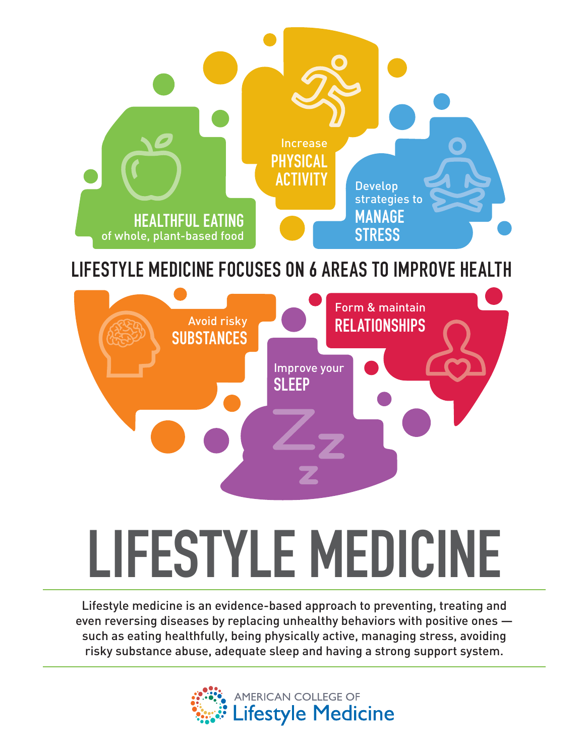

## **LIFESTYLE MEDICINE FOCUSES ON 6 AREAS TO IMPROVE HEALTH**



# **LIFESTYLE MEDICINE**

Lifestyle medicine is an evidence-based approach to preventing, treating and even reversing diseases by replacing unhealthy behaviors with positive ones such as eating healthfully, being physically active, managing stress, avoiding risky substance abuse, adequate sleep and having a strong support system.